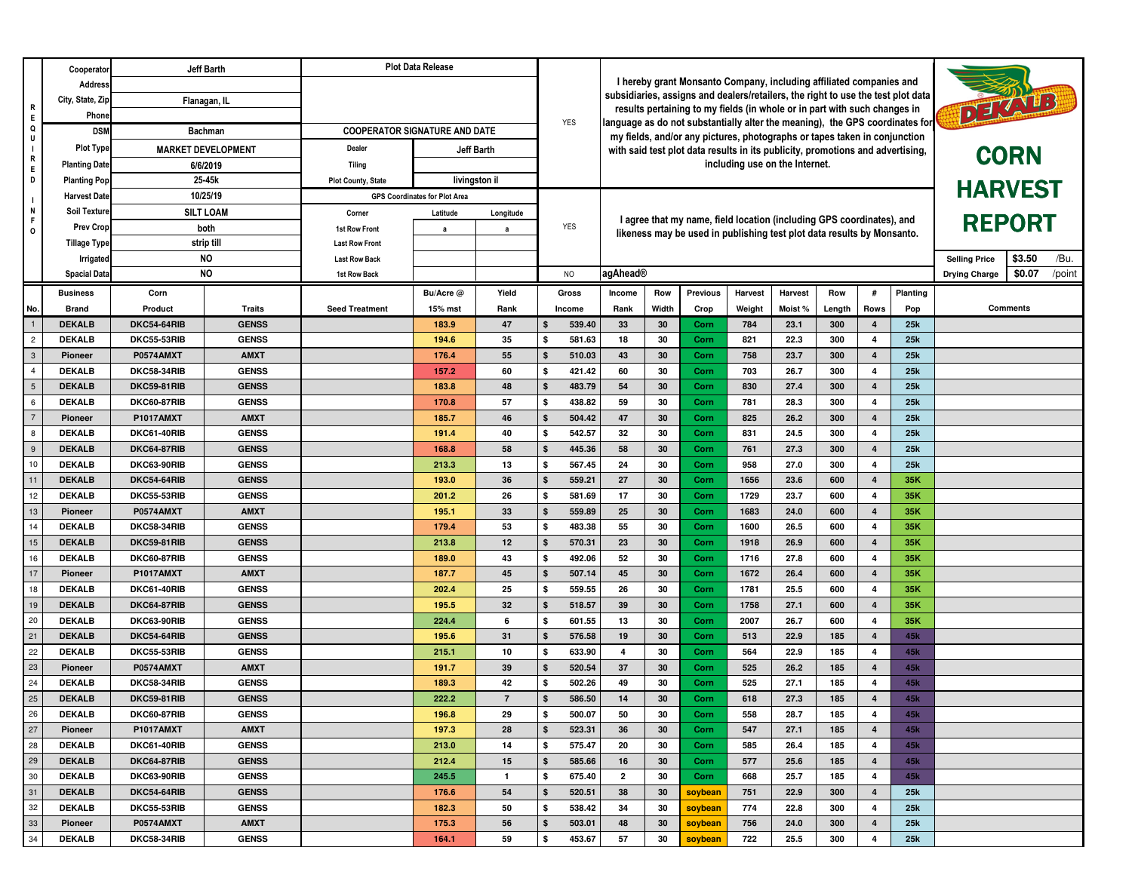| Cooperator                                        |                                               | Jeff Barth                                                                           |                             | <b>Plot Data Release</b>             |                |              |                                                                                               |                                                                                                                                                           |                                |                                                                        |                |                      |                  |                         |                        |               |                 |  |
|---------------------------------------------------|-----------------------------------------------|--------------------------------------------------------------------------------------|-----------------------------|--------------------------------------|----------------|--------------|-----------------------------------------------------------------------------------------------|-----------------------------------------------------------------------------------------------------------------------------------------------------------|--------------------------------|------------------------------------------------------------------------|----------------|----------------------|------------------|-------------------------|------------------------|---------------|-----------------|--|
| R<br>$\,$ E                                       | <b>Address</b>                                |                                                                                      |                             |                                      |                |              |                                                                                               |                                                                                                                                                           |                                | I hereby grant Monsanto Company, including affiliated companies and    |                |                      |                  |                         |                        |               |                 |  |
|                                                   | City, State, Zip                              | Flanagan, IL                                                                         |                             |                                      |                |              |                                                                                               | subsidiaries, assigns and dealers/retailers, the right to use the test plot data                                                                          |                                |                                                                        |                |                      |                  |                         |                        |               |                 |  |
|                                                   | Phone                                         |                                                                                      |                             |                                      |                |              | <b>YES</b>                                                                                    | results pertaining to my fields (in whole or in part with such changes in                                                                                 |                                |                                                                        |                |                      |                  |                         |                        | DETAILS       |                 |  |
| $\mathbf Q$<br>U                                  | <b>DSN</b>                                    | <b>Bachman</b>                                                                       |                             | <b>COOPERATOR SIGNATURE AND DATE</b> |                |              |                                                                                               | language as do not substantially alter the meaning), the GPS coordinates for<br>my fields, and/or any pictures, photographs or tapes taken in conjunction |                                |                                                                        |                |                      |                  |                         |                        |               |                 |  |
| $\blacksquare$                                    | <b>Plot Type</b><br><b>MARKET DEVELOPMENT</b> |                                                                                      | Dealer                      | Jeff Barth                           |                |              | with said test plot data results in its publicity, promotions and advertising,<br><b>CORN</b> |                                                                                                                                                           |                                |                                                                        |                |                      |                  |                         |                        |               |                 |  |
| $\mathbf R$<br>E                                  | <b>Planting Date</b><br>6/6/2019              |                                                                                      | Tiling                      |                                      |                |              |                                                                                               |                                                                                                                                                           | including use on the Internet. |                                                                        |                |                      |                  |                         |                        |               |                 |  |
| D<br>$\mathbf{I}$<br>$\mathsf{N}$<br>F<br>$\circ$ | 25-45k<br><b>Planting Pop</b>                 |                                                                                      | <b>Plot County, State</b>   |                                      | livingston il  |              |                                                                                               |                                                                                                                                                           |                                |                                                                        | <b>HARVEST</b> |                      |                  |                         |                        |               |                 |  |
|                                                   | 10/25/19<br><b>Harvest Date</b>               |                                                                                      |                             | <b>GPS Coordinates for Plot Area</b> |                |              |                                                                                               |                                                                                                                                                           |                                |                                                                        |                |                      |                  |                         |                        |               |                 |  |
|                                                   | Soil Texture                                  | <b>SILT LOAM</b><br><b>Prev Crop</b><br>both<br>strip till<br><b>NO</b><br>Irrigated |                             | Corner                               | Latitude       | Longitude    |                                                                                               | I agree that my name, field location (including GPS coordinates), and                                                                                     |                                |                                                                        |                |                      |                  |                         |                        | <b>REPORT</b> |                 |  |
|                                                   |                                               |                                                                                      |                             | <b>1st Row Front</b>                 | a              | a            | <b>YES</b>                                                                                    |                                                                                                                                                           |                                | likeness may be used in publishing test plot data results by Monsanto. |                |                      |                  |                         |                        |               |                 |  |
|                                                   | <b>Tillage Type</b>                           |                                                                                      |                             | <b>Last Row Front</b>                |                |              |                                                                                               |                                                                                                                                                           |                                |                                                                        |                |                      |                  |                         |                        |               |                 |  |
|                                                   |                                               |                                                                                      |                             | <b>Last Row Back</b>                 |                |              |                                                                                               |                                                                                                                                                           |                                |                                                                        |                | <b>Selling Price</b> | \$3.50<br>/Bu.   |                         |                        |               |                 |  |
|                                                   | <b>Spacial Data</b>                           | <b>NO</b>                                                                            |                             | 1st Row Back                         |                |              | N <sub>O</sub>                                                                                | agAhead®                                                                                                                                                  |                                |                                                                        |                | <b>Drying Charge</b> | \$0.07<br>/point |                         |                        |               |                 |  |
|                                                   | <b>Business</b>                               | Corn                                                                                 |                             |                                      | Bu/Acre @      | Yield        | Gross                                                                                         | Income                                                                                                                                                    | Row                            | <b>Previous</b>                                                        | <b>Harvest</b> | Harvest              | Row              | #                       | Planting               |               |                 |  |
| No.                                               | <b>Brand</b>                                  | Product                                                                              | Traits                      | <b>Seed Treatment</b>                | 15% mst        | Rank         | Income                                                                                        | Rank                                                                                                                                                      | Width                          | Crop                                                                   | Weight         | Moist%               | Length           | Rows                    | Pop                    |               | <b>Comments</b> |  |
| $\overline{1}$                                    | <b>DEKALB</b>                                 | DKC54-64RIB                                                                          | <b>GENSS</b>                |                                      | 183.9          | 47           | 539.40                                                                                        | 33                                                                                                                                                        | 30                             | Corn                                                                   | 784            | 23.1                 | 300              | 4                       | 25k                    |               |                 |  |
| $\overline{c}$                                    | <b>DEKALB</b>                                 | DKC55-53RIB                                                                          | <b>GENSS</b>                |                                      | 194.6          | 35           | 581.63<br>£.                                                                                  | 18                                                                                                                                                        | 30                             | Corn                                                                   | 821            | 22.3                 | 300              | 4                       | 25k                    |               |                 |  |
| $\overline{\mathbf{3}}$                           | Pioneer                                       | <b>P0574AMXT</b>                                                                     | <b>AMXT</b>                 |                                      | 176.4          | 55           | 510.03<br>- \$                                                                                | 43                                                                                                                                                        | 30                             | Corn                                                                   | 758            | 23.7                 | 300              | $\overline{\mathbf{4}}$ | 25k                    |               |                 |  |
| $\overline{4}$                                    | <b>DEKALB</b>                                 | DKC58-34RIB                                                                          | <b>GENSS</b>                |                                      | 157.2          | 60           | 421.42<br>\$                                                                                  | 60                                                                                                                                                        | 30                             | Corn                                                                   | 703            | 26.7                 | 300              | 4                       | 25k                    |               |                 |  |
| $\overline{5}$                                    | <b>DEKALB</b>                                 | DKC59-81RIB                                                                          | <b>GENSS</b>                |                                      | 183.8          | 48           | 483.79                                                                                        | 54                                                                                                                                                        | 30                             | Corn                                                                   | 830            | 27.4                 | 300              | $\overline{\mathbf{4}}$ | 25k                    |               |                 |  |
| 6                                                 | <b>DEKALB</b>                                 | DKC60-87RIB                                                                          | <b>GENSS</b>                |                                      | 170.8          | 57           | 438.82<br>\$                                                                                  | 59                                                                                                                                                        | 30                             | Corn                                                                   | 781            | 28.3                 | 300              | 4                       | 25k                    |               |                 |  |
| $\overline{7}$                                    | Pioneer                                       | <b>P1017AMXT</b>                                                                     | <b>AMXT</b>                 |                                      | 185.7          | 46           | 504.42                                                                                        | 47                                                                                                                                                        | 30                             | Corn                                                                   | 825            | 26.2                 | 300              | $\overline{4}$          | 25k                    |               |                 |  |
| $\boldsymbol{8}$                                  | <b>DEKALB</b>                                 | DKC61-40RIB                                                                          | <b>GENSS</b>                |                                      | 191.4          | 40           | 542.57<br>£.                                                                                  | 32                                                                                                                                                        | 30                             | Corn                                                                   | 831            | 24.5                 | 300              | 4                       | 25k                    |               |                 |  |
| $\overline{9}$                                    | <b>DEKALB</b>                                 | DKC64-87RIB                                                                          | <b>GENSS</b>                |                                      | 168.8          | 58           | 445.36                                                                                        | 58                                                                                                                                                        | 30                             | Corn                                                                   | 761            | 27.3                 | 300              | $\overline{4}$          | 25k                    |               |                 |  |
| 10                                                | <b>DEKALB</b>                                 | DKC63-90RIB                                                                          | <b>GENSS</b>                |                                      | 213.3          | 13           | 567.45                                                                                        | 24                                                                                                                                                        | 30                             | Corn                                                                   | 958            | 27.0                 | 300              | 4                       | 25k                    |               |                 |  |
| 11                                                | <b>DEKALB</b>                                 | DKC54-64RIB                                                                          | <b>GENSS</b>                |                                      | 193.0          | 36           | 559.21                                                                                        | 27                                                                                                                                                        | 30                             | Corn                                                                   | 1656           | 23.6                 | 600              | $\overline{4}$          | 35K                    |               |                 |  |
| 12                                                | <b>DEKALB</b>                                 | DKC55-53RIB                                                                          | <b>GENSS</b>                |                                      | 201.2          | 26           | 581.69<br>\$                                                                                  | 17                                                                                                                                                        | 30                             | Corn                                                                   | 1729           | 23.7                 | 600              | 4                       | 35K                    |               |                 |  |
| $13$                                              | Pioneer                                       | <b>P0574AMXT</b>                                                                     | <b>AMXT</b>                 |                                      | 195.1          | 33           | 559.89                                                                                        | 25                                                                                                                                                        | 30                             | Corn                                                                   | 1683           | 24.0                 | 600              | 4                       | 35K                    |               |                 |  |
| 14                                                | <b>DEKALB</b>                                 | DKC58-34RIB                                                                          | <b>GENSS</b>                |                                      | 179.4          | 53           | 483.38<br>\$                                                                                  | 55                                                                                                                                                        | 30                             | Corn                                                                   | 1600           | 26.5                 | 600              | 4                       | 35K                    |               |                 |  |
| $\frac{15}{2}$                                    | <b>DEKALB</b>                                 | <b>DKC59-81RIB</b>                                                                   | <b>GENSS</b>                |                                      | 213.8          | 12           | 570.31                                                                                        | 23                                                                                                                                                        | 30                             | Corn                                                                   | 1918           | 26.9                 | 600              | $\overline{4}$          | 35K                    |               |                 |  |
| 16                                                | <b>DEKALB</b>                                 | DKC60-87RIB                                                                          | <b>GENSS</b>                |                                      | 189.0          | 43           | 492.06<br>£.                                                                                  | 52                                                                                                                                                        | 30                             | Corn                                                                   | 1716           | 27.8                 | 600              | 4                       | 35K                    |               |                 |  |
| 17                                                | Pioneer                                       | <b>P1017AMXT</b>                                                                     | <b>AMXT</b>                 |                                      | 187.7          | 45           | 507.14<br>£.                                                                                  | 45                                                                                                                                                        | 30                             | Corn                                                                   | 1672           | 26.4                 | 600              | $\overline{\mathbf{4}}$ | 35K                    |               |                 |  |
| 18                                                | <b>DEKALB</b>                                 | DKC61-40RIB                                                                          | <b>GENSS</b>                |                                      | 202.4          | 25           | 559.55                                                                                        | 26                                                                                                                                                        | 30                             | Corn                                                                   | 1781           | 25.5                 | 600              | 4                       | 35K                    |               |                 |  |
| 19                                                | <b>DEKALB</b>                                 | DKC64-87RIB                                                                          | <b>GENSS</b>                |                                      | 195.5          | 32           | 518.57                                                                                        | 39                                                                                                                                                        | 30                             | Corn                                                                   | 1758           | 27.1                 | 600              | $\overline{4}$          | 35K                    |               |                 |  |
| 20<br>$\overline{21}$                             | <b>DEKALB</b>                                 | DKC63-90RIB                                                                          | <b>GENSS</b>                |                                      | 224.4          | 6            | 601.55<br>S.                                                                                  | 13                                                                                                                                                        | 30                             | Corn                                                                   | 2007           | 26.7                 | 600              | 4                       | 35K                    |               |                 |  |
| 22                                                | <b>DEKALB</b>                                 | DKC54-64RIB                                                                          | <b>GENSS</b>                |                                      | 195.6          | 31           | 576.58                                                                                        | 19                                                                                                                                                        | 30                             | Corn                                                                   | 513            | 22.9                 | 185              | $\overline{\mathbf{4}}$ | 45k                    |               |                 |  |
| 23                                                | <b>DEKALB</b>                                 | DKC55-53RIB<br><b>P0574AMXT</b>                                                      | <b>GENSS</b>                |                                      | 215.1          | 10           | 633.90<br>\$                                                                                  | 4                                                                                                                                                         | 30                             | Corn                                                                   | 564<br>525     | 22.9                 | 185              | 4                       | 45k                    |               |                 |  |
| 24                                                | Pioneer                                       |                                                                                      | <b>AMXT</b>                 |                                      | 191.7          | 39           | 520.54                                                                                        | 37                                                                                                                                                        | 30                             | Corn                                                                   |                | 26.2                 | 185              | $\overline{\mathbf{4}}$ | 45k                    |               |                 |  |
|                                                   | <b>DEKALB</b>                                 | DKC58-34RIB                                                                          | <b>GENSS</b>                |                                      | 189.3<br>222.2 | 42<br>7      | 502.26                                                                                        | 49<br>14                                                                                                                                                  | 30                             | Corn                                                                   | 525            | 27.1                 | 185              | 4<br>$\overline{4}$     | 45k                    |               |                 |  |
| $\begin{array}{c c} 25 \\ \hline 26 \end{array}$  | <b>DEKALB</b>                                 | DKC59-81RIB                                                                          | <b>GENSS</b>                |                                      |                |              | 586.50                                                                                        |                                                                                                                                                           | 30                             | Corn                                                                   | 618            | 27.3                 | 185              |                         | 45k                    |               |                 |  |
| 27                                                | <b>DEKALB</b><br>Pioneer                      | DKC60-87RIB<br><b>P1017AMXT</b>                                                      | <b>GENSS</b><br><b>AMXT</b> |                                      | 196.8<br>197.3 | 29<br>28     | 500.07<br>\$<br>523.31                                                                        | 50<br>36                                                                                                                                                  | 30<br>30                       | Corn<br>Corn                                                           | 558<br>547     | 28.7<br>27.1         | 185<br>185       | 4<br>4                  | 45 <sub>k</sub><br>45k |               |                 |  |
| 28                                                | <b>DEKALB</b>                                 | DKC61-40RIB                                                                          | <b>GENSS</b>                |                                      | 213.0          | 14           | 575.47<br>\$                                                                                  | 20                                                                                                                                                        | 30                             | Corn                                                                   | 585            | 26.4                 | 185              | 4                       | 45 <sub>k</sub>        |               |                 |  |
| 29                                                | <b>DEKALB</b>                                 | DKC64-87RIB                                                                          | <b>GENSS</b>                |                                      | 212.4          | 15           | 585.66<br>\$                                                                                  |                                                                                                                                                           | 30                             |                                                                        | 577            | 25.6                 | 185              | $\overline{4}$          | 45 <sub>k</sub>        |               |                 |  |
| 30                                                | <b>DEKALB</b>                                 | DKC63-90RIB                                                                          | <b>GENSS</b>                |                                      | 245.5          | $\mathbf{1}$ | 675.40<br>\$                                                                                  | 16<br>2                                                                                                                                                   | 30                             | Corn                                                                   | 668            | 25.7                 | 185              | 4                       | 45k                    |               |                 |  |
|                                                   | <b>DEKALB</b>                                 | DKC54-64RIB                                                                          | <b>GENSS</b>                |                                      | 176.6          | 54           | 520.51<br>- \$                                                                                | 38                                                                                                                                                        | 30                             | Corn<br>soybean                                                        | 751            | 22.9                 | 300              | 4                       | 25k                    |               |                 |  |
| $\begin{array}{c c}\n31 \\ 32\n\end{array}$       | <b>DEKALB</b>                                 | DKC55-53RIB                                                                          | <b>GENSS</b>                |                                      | 182.3          | 50           | 538.42<br>\$                                                                                  | 34                                                                                                                                                        | 30                             | soybean                                                                | 774            | 22.8                 | 300              | 4                       | 25k                    |               |                 |  |
| 33                                                | Pioneer                                       | <b>P0574AMXT</b>                                                                     | <b>AMXT</b>                 |                                      | 175.3          | 56           | 503.01<br>\$                                                                                  | 48                                                                                                                                                        | 30                             | soybean                                                                | 756            | 24.0                 | 300              | $\overline{4}$          | 25k                    |               |                 |  |
| 34                                                | <b>DEKALB</b>                                 | <b>DKC58-34RIB</b>                                                                   | <b>GENSS</b>                |                                      | 164.1          | 59           | 453.67<br>\$                                                                                  | 57                                                                                                                                                        | 30                             | soybean                                                                | 722            | 25.5                 | 300              | 4                       | 25k                    |               |                 |  |
|                                                   |                                               |                                                                                      |                             |                                      |                |              |                                                                                               |                                                                                                                                                           |                                |                                                                        |                |                      |                  |                         |                        |               |                 |  |